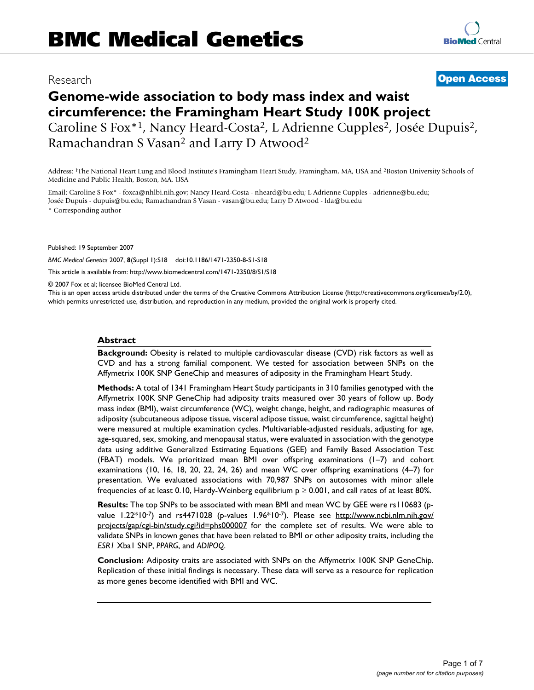# Research **[Open Access](http://www.biomedcentral.com/info/about/charter/)**

# **Genome-wide association to body mass index and waist circumference: the Framingham Heart Study 100K project** Caroline S Fox<sup>\*1</sup>, Nancy Heard-Costa<sup>2</sup>, L Adrienne Cupples<sup>2</sup>, Josée Dupuis<sup>2</sup>, Ramachandran S Vasan2 and Larry D Atwood2

Address: 1The National Heart Lung and Blood Institute's Framingham Heart Study, Framingham, MA, USA and 2Boston University Schools of Medicine and Public Health, Boston, MA, USA

Email: Caroline S Fox\* - foxca@nhlbi.nih.gov; Nancy Heard-Costa - nheard@bu.edu; L Adrienne Cupples - adrienne@bu.edu; Josée Dupuis - dupuis@bu.edu; Ramachandran S Vasan - vasan@bu.edu; Larry D Atwood - lda@bu.edu \* Corresponding author

Published: 19 September 2007

*BMC Medical Genetics* 2007, **8**(Suppl 1):S18 doi:10.1186/1471-2350-8-S1-S18

[This article is available from: http://www.biomedcentral.com/1471-2350/8/S1/S18](http://www.biomedcentral.com/1471-2350/8/S1/S18)

© 2007 Fox et al; licensee BioMed Central Ltd.

This is an open access article distributed under the terms of the Creative Commons Attribution License [\(http://creativecommons.org/licenses/by/2.0\)](http://creativecommons.org/licenses/by/2.0), which permits unrestricted use, distribution, and reproduction in any medium, provided the original work is properly cited.

## **Abstract**

**Background:** Obesity is related to multiple cardiovascular disease (CVD) risk factors as well as CVD and has a strong familial component. We tested for association between SNPs on the Affymetrix 100K SNP GeneChip and measures of adiposity in the Framingham Heart Study.

**Methods:** A total of 1341 Framingham Heart Study participants in 310 families genotyped with the Affymetrix 100K SNP GeneChip had adiposity traits measured over 30 years of follow up. Body mass index (BMI), waist circumference (WC), weight change, height, and radiographic measures of adiposity (subcutaneous adipose tissue, visceral adipose tissue, waist circumference, sagittal height) were measured at multiple examination cycles. Multivariable-adjusted residuals, adjusting for age, age-squared, sex, smoking, and menopausal status, were evaluated in association with the genotype data using additive Generalized Estimating Equations (GEE) and Family Based Association Test (FBAT) models. We prioritized mean BMI over offspring examinations (1–7) and cohort examinations (10, 16, 18, 20, 22, 24, 26) and mean WC over offspring examinations (4–7) for presentation. We evaluated associations with 70,987 SNPs on autosomes with minor allele frequencies of at least 0.10, Hardy-Weinberg equilibrium  $p \ge 0.001$ , and call rates of at least 80%.

**Results:** The top SNPs to be associated with mean BMI and mean WC by GEE were rs110683 (pvalue  $1.22*10-7$ ) and rs4471028 (p-values  $1.96*10-7$ ). Please see [http://www.ncbi.nlm.nih.gov/](http://www.ncbi.nlm.nih.gov/projects/gap/cgi-bin/study.cgi?id=phs000007) [projects/gap/cgi-bin/study.cgi?id=phs000007](http://www.ncbi.nlm.nih.gov/projects/gap/cgi-bin/study.cgi?id=phs000007) for the complete set of results. We were able to validate SNPs in known genes that have been related to BMI or other adiposity traits, including the *ESR1* Xba1 SNP, *PPARG*, and *ADIPOQ*.

**Conclusion:** Adiposity traits are associated with SNPs on the Affymetrix 100K SNP GeneChip. Replication of these initial findings is necessary. These data will serve as a resource for replication as more genes become identified with BMI and WC.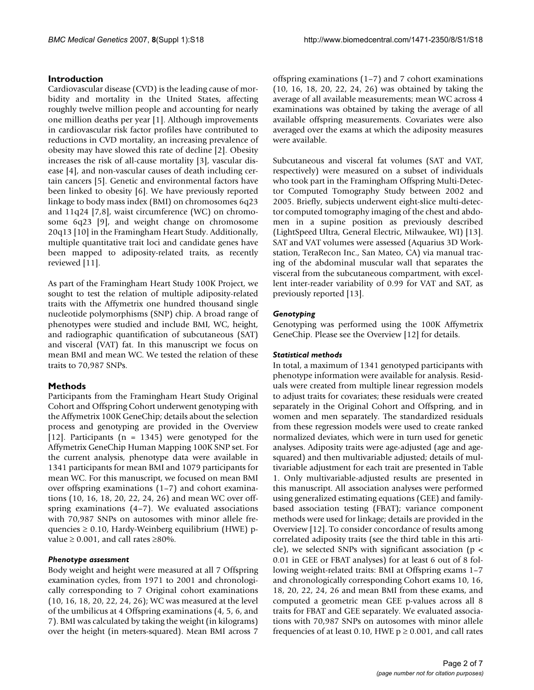# **Introduction**

Cardiovascular disease (CVD) is the leading cause of morbidity and mortality in the United States, affecting roughly twelve million people and accounting for nearly one million deaths per year [1]. Although improvements in cardiovascular risk factor profiles have contributed to reductions in CVD mortality, an increasing prevalence of obesity may have slowed this rate of decline [2]. Obesity increases the risk of all-cause mortality [3], vascular disease [4], and non-vascular causes of death including certain cancers [5]. Genetic and environmental factors have been linked to obesity [6]. We have previously reported linkage to body mass index (BMI) on chromosomes 6q23 and 11q24 [7,8], waist circumference (WC) on chromosome 6q23 [9], and weight change on chromosome 20q13 [10] in the Framingham Heart Study. Additionally, multiple quantitative trait loci and candidate genes have been mapped to adiposity-related traits, as recently reviewed [11].

As part of the Framingham Heart Study 100K Project, we sought to test the relation of multiple adiposity-related traits with the Affymetrix one hundred thousand single nucleotide polymorphisms (SNP) chip. A broad range of phenotypes were studied and include BMI, WC, height, and radiographic quantification of subcutaneous (SAT) and visceral (VAT) fat. In this manuscript we focus on mean BMI and mean WC. We tested the relation of these traits to 70,987 SNPs.

# **Methods**

Participants from the Framingham Heart Study Original Cohort and Offspring Cohort underwent genotyping with the Affymetrix 100K GeneChip; details about the selection process and genotyping are provided in the Overview [12]. Participants (n = 1345) were genotyped for the Affymetrix GeneChip Human Mapping 100K SNP set. For the current analysis, phenotype data were available in 1341 participants for mean BMI and 1079 participants for mean WC. For this manuscript, we focused on mean BMI over offspring examinations (1–7) and cohort examinations (10, 16, 18, 20, 22, 24, 26) and mean WC over offspring examinations (4–7). We evaluated associations with 70,987 SNPs on autosomes with minor allele frequencies  $\geq 0.10$ , Hardy-Weinberg equilibrium (HWE) pvalue  $\geq 0.001$ , and call rates  $\geq 80\%$ .

# *Phenotype assessment*

Body weight and height were measured at all 7 Offspring examination cycles, from 1971 to 2001 and chronologically corresponding to 7 Original cohort examinations (10, 16, 18, 20, 22, 24, 26); WC was measured at the level of the umbilicus at 4 Offspring examinations (4, 5, 6, and 7). BMI was calculated by taking the weight (in kilograms) over the height (in meters-squared). Mean BMI across 7

offspring examinations (1–7) and 7 cohort examinations (10, 16, 18, 20, 22, 24, 26) was obtained by taking the average of all available measurements; mean WC across 4 examinations was obtained by taking the average of all available offspring measurements. Covariates were also averaged over the exams at which the adiposity measures were available.

Subcutaneous and visceral fat volumes (SAT and VAT, respectively) were measured on a subset of individuals who took part in the Framingham Offspring Multi-Detector Computed Tomography Study between 2002 and 2005. Briefly, subjects underwent eight-slice multi-detector computed tomography imaging of the chest and abdomen in a supine position as previously described (LightSpeed Ultra, General Electric, Milwaukee, WI) [13]. SAT and VAT volumes were assessed (Aquarius 3D Workstation, TeraRecon Inc., San Mateo, CA) via manual tracing of the abdominal muscular wall that separates the visceral from the subcutaneous compartment, with excellent inter-reader variability of 0.99 for VAT and SAT, as previously reported [13].

# *Genotyping*

Genotyping was performed using the 100K Affymetrix GeneChip. Please see the Overview [12] for details.

# *Statistical methods*

In total, a maximum of 1341 genotyped participants with phenotype information were available for analysis. Residuals were created from multiple linear regression models to adjust traits for covariates; these residuals were created separately in the Original Cohort and Offspring, and in women and men separately. The standardized residuals from these regression models were used to create ranked normalized deviates, which were in turn used for genetic analyses. Adiposity traits were age-adjusted (age and agesquared) and then multivariable adjusted; details of multivariable adjustment for each trait are presented in Table 1. Only multivariable-adjusted results are presented in this manuscript. All association analyses were performed using generalized estimating equations (GEE) and familybased association testing (FBAT); variance component methods were used for linkage; details are provided in the Overview [12]. To consider concordance of results among correlated adiposity traits (see the third table in this article), we selected SNPs with significant association ( $p <$ 0.01 in GEE or FBAT analyses) for at least 6 out of 8 following weight-related traits: BMI at Offspring exams 1–7 and chronologically corresponding Cohort exams 10, 16, 18, 20, 22, 24, 26 and mean BMI from these exams, and computed a geometric mean GEE p-values across all 8 traits for FBAT and GEE separately. We evaluated associations with 70,987 SNPs on autosomes with minor allele frequencies of at least 0.10, HWE  $p \ge 0.001$ , and call rates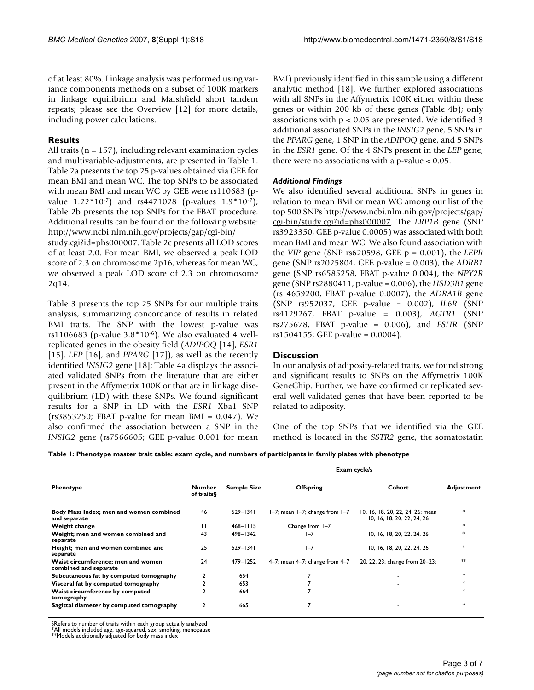of at least 80%. Linkage analysis was performed using variance components methods on a subset of 100K markers in linkage equilibrium and Marshfield short tandem repeats; please see the Overview [12] for more details, including power calculations.

# **Results**

All traits ( $n = 157$ ), including relevant examination cycles and multivariable-adjustments, are presented in Table 1. Table 2a presents the top 25 p-values obtained via GEE for mean BMI and mean WC. The top SNPs to be associated with mean BMI and mean WC by GEE were rs110683 (pvalue 1.22\*10-7) and rs4471028 (p-values 1.9\*10-7); Table 2b presents the top SNPs for the FBAT procedure. Additional results can be found on the following website: [http://www.ncbi.nlm.nih.gov/projects/gap/cgi-bin/](http://www.ncbi.nlm.nih.gov/projects/gap/cgi-bin/study.cgi?id=phs000007)

[study.cgi?id=phs000007.](http://www.ncbi.nlm.nih.gov/projects/gap/cgi-bin/study.cgi?id=phs000007) Table 2c presents all LOD scores of at least 2.0. For mean BMI, we observed a peak LOD score of 2.3 on chromosome 2p16, whereas for mean WC, we observed a peak LOD score of 2.3 on chromosome 2q14.

Table 3 presents the top 25 SNPs for our multiple traits analysis, summarizing concordance of results in related BMI traits. The SNP with the lowest p-value was rs1106683 (p-value  $3.8*10^{-6}$ ). We also evaluated 4 wellreplicated genes in the obesity field (*ADIPOQ* [14], *ESR1* [15], *LEP* [16], and *PPARG* [17]), as well as the recently identified *INSIG2* gene [18]; Table 4a displays the associated validated SNPs from the literature that are either present in the Affymetrix 100K or that are in linkage disequilibrium (LD) with these SNPs. We found significant results for a SNP in LD with the *ESR1* Xba1 SNP ( $rs3853250$ ; FBAT p-value for mean BMI = 0.047). We also confirmed the association between a SNP in the *INSIG2* gene (rs7566605; GEE p-value 0.001 for mean

BMI) previously identified in this sample using a different analytic method [18]. We further explored associations with all SNPs in the Affymetrix 100K either within these genes or within 200 kb of these genes (Table 4b); only associations with  $p < 0.05$  are presented. We identified 3 additional associated SNPs in the *INSIG2* gene, 5 SNPs in the *PPARG* gene, 1 SNP in the *ADIPOQ* gene, and 5 SNPs in the *ESR1* gene. Of the 4 SNPs present in the *LEP* gene, there were no associations with a p-value < 0.05.

# *Additional Findings*

We also identified several additional SNPs in genes in relation to mean BMI or mean WC among our list of the top 500 SNPs [http://www.ncbi.nlm.nih.gov/projects/gap/](http://www.ncbi.nlm.nih.gov/projects/gap/cgi-bin/study.cgi?id=phs000007) [cgi-bin/study.cgi?id=phs000007](http://www.ncbi.nlm.nih.gov/projects/gap/cgi-bin/study.cgi?id=phs000007). The *LRP1B* gene (SNP rs3923350, GEE p-value 0.0005) was associated with both mean BMI and mean WC. We also found association with the *VIP* gene (SNP rs620598, GEE p = 0.001), the *LEPR* gene (SNP rs2025804, GEE p-value = 0.003), the *ADRB1* gene (SNP rs6585258, FBAT p-value 0.004), the *NPY2R* gene (SNP rs2880411, p-value = 0.006), the *HSD3B1* gene (rs 4659200, FBAT p-value 0.0007), the *ADRA1B* gene (SNP rs952037, GEE p-value = 0.002), *IL6R* (SNP rs4129267, FBAT p-value = 0.003), *AGTR1* (SNP rs275678, FBAT p-value = 0.006), and *FSHR* (SNP rs1504155; GEE p-value = 0.0004).

# **Discussion**

In our analysis of adiposity-related traits, we found strong and significant results to SNPs on the Affymetrix 100K GeneChip. Further, we have confirmed or replicated several well-validated genes that have been reported to be related to adiposity.

One of the top SNPs that we identified via the GEE method is located in the *SSTR2* gene, the somatostatin

**Table 1: Phenotype master trait table: exam cycle, and numbers of participants in family plates with phenotype**

|                                                             |                             |                    |                                        | Exam cycle/s                                                   |                   |
|-------------------------------------------------------------|-----------------------------|--------------------|----------------------------------------|----------------------------------------------------------------|-------------------|
| Phenotype                                                   | <b>Number</b><br>of traits& | <b>Sample Size</b> | <b>Offspring</b>                       | Cohort                                                         | <b>Adjustment</b> |
| Body Mass Index; men and women combined<br>and separate     | 46                          | $529 - 1341$       | $1-7$ ; mean $1-7$ ; change from $1-7$ | 10, 16, 18, 20, 22, 24, 26; mean<br>10, 16, 18, 20, 22, 24, 26 | $\ast$            |
| Weight change                                               | Ш                           | $468 - 1115$       | Change from 1-7                        |                                                                | *                 |
| Weight; men and women combined and<br>separate              | 43                          | 498-1342           | $1 - 7$                                | 10, 16, 18, 20, 22, 24, 26                                     | *                 |
| Height; men and women combined and<br>separate              | 25                          | $529 - 1341$       | $1 - 7$                                | 10, 16, 18, 20, 22, 24, 26                                     | *                 |
| Waist circumference; men and women<br>combined and separate | 24                          | 479-1252           | $4-7$ ; mean $4-7$ ; change from $4-7$ | 20, 22, 23; change from 20-23;                                 | $**$              |
| Subcutaneous fat by computed tomography                     | $\overline{\mathbf{2}}$     | 654                |                                        |                                                                | *                 |
| Visceral fat by computed tomography                         |                             | 653                |                                        |                                                                | $\ast$            |
| Waist circumference by computed<br>tomography               |                             | 664                |                                        |                                                                | *                 |
| Sagittal diameter by computed tomography                    | $\overline{2}$              | 665                | 7                                      |                                                                | *                 |

§Refers to number of traits within each group actually analyzed

\*All models included age, age-squared, sex, smoking, menopause \*\*Models additionally adjusted for body mass index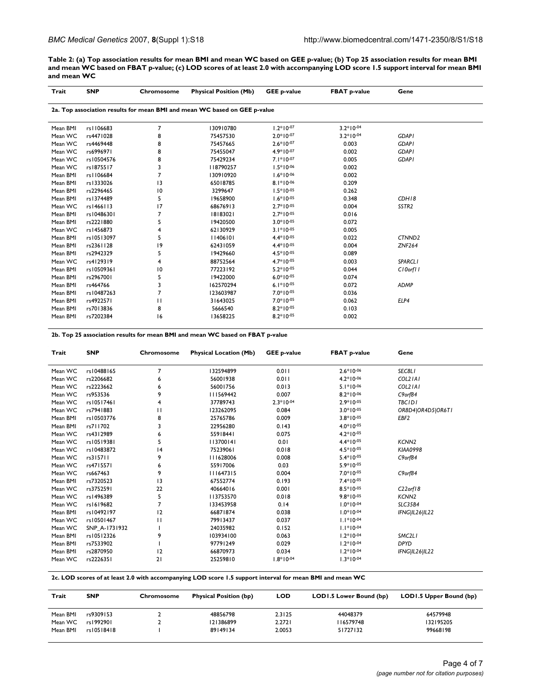**Table 2: (a) Top association results for mean BMI and mean WC based on GEE p-value; (b) Top 25 association results for mean BMI and mean WC based on FBAT p-value; (c) LOD scores of at least 2.0 with accompanying LOD score 1.5 support interval for mean BMI and mean WC**

| Trait    | <b>SNP</b> | Chromosome      | <b>Physical Position (Mb)</b>                                             | <b>GEE p-value</b> | <b>FBAT p-value</b> | Gene               |
|----------|------------|-----------------|---------------------------------------------------------------------------|--------------------|---------------------|--------------------|
|          |            |                 | 2a. Top association results for mean BMI and mean WC based on GEE p-value |                    |                     |                    |
| Mean BMI | rs1106683  | 7               | 130910780                                                                 | $1.2*10-07$        | $3.2*10-04$         |                    |
| Mean WC  | rs4471028  | 8               | 75457530                                                                  | $2.0*10-07$        | $3.2*10-04$         | <b>GDAP1</b>       |
| Mean WC  | rs4469448  | 8               | 75457665                                                                  | $2.6*10-07$        | 0.003               | <b>GDAP1</b>       |
| Mean WC  | rs6996971  | 8               | 75455047                                                                  | $4.9*10-07$        | 0.002               | <b>GDAP1</b>       |
| Mean WC  | rs10504576 | 8               | 75429234                                                                  | $7.1*10-07$        | 0.005               | <b>GDAPI</b>       |
| Mean WC  | rs1875517  | 3               | 118790257                                                                 | $1.5*10-06$        | 0.002               |                    |
| Mean BMI | rs1106684  | 7               | 130910920                                                                 | $1.6*10-06$        | 0.002               |                    |
| Mean BMI | rs1333026  | 13              | 65018785                                                                  | $8.1*10-06$        | 0.209               |                    |
| Mean BMI | rs2296465  | $\overline{10}$ | 3299647                                                                   | $1.5*10-05$        | 0.262               |                    |
| Mean BMI | rs1374489  | 5               | 19658900                                                                  | $1.6*10-05$        | 0.348               | CDH18              |
| Mean WC  | rs1466113  | 17              | 68676913                                                                  | $2.7*10-05$        | 0.004               | SSTR <sub>2</sub>  |
| Mean BMI | rs10486301 | 7               | 18183021                                                                  | $2.7*10-05$        | 0.016               |                    |
| Mean BMI | rs2221880  | 5               | 19420500                                                                  | $3.0*10-05$        | 0.072               |                    |
| Mean WC  | rs1456873  | 4               | 62130929                                                                  | $3.1*10-05$        | 0.005               |                    |
| Mean BMI | rs10513097 | 5               | 11406101                                                                  | $4.4*10-05$        | 0.022               | CTNND <sub>2</sub> |
| Mean BMI | rs2361128  | 19              | 62431059                                                                  | $4.4*10-05$        | 0.004               | <b>ZNF264</b>      |
| Mean BMI | rs2942329  | 5               | 19429660                                                                  | $4.5*10^{-05}$     | 0.089               |                    |
| Mean WC  | rs4129319  | 4               | 88752564                                                                  | $4.7*10^{-05}$     | 0.003               | <b>SPARCLI</b>     |
| Mean BMI | rs10509361 | $\overline{10}$ | 77223192                                                                  | $5.2*10-05$        | 0.044               | C10orf11           |
| Mean BMI | rs2967001  | 5               | 19422000                                                                  | $6.0*10-05$        | 0.074               |                    |
| Mean BMI | rs464766   | 3               | 162570294                                                                 | $6.1*10-05$        | 0.072               | ADMP               |
| Mean BMI | rs10487263 | 7               | 123603987                                                                 | $7.0*10-05$        | 0.036               |                    |
| Mean BMI | rs4922571  | П               | 31643025                                                                  | $7.0*10-05$        | 0.062               | ELP4               |
| Mean BMI | rs7013836  | 8               | 5666540                                                                   | $8.2*10-05$        | 0.103               |                    |
| Mean BMI | rs7202384  | 16              | 13658225                                                                  | $8.2*10-05$        | 0.002               |                    |

**2b. Top 25 association results for mean BMI and mean WC based on FBAT p-value**

| Trait    | <b>SNP</b>    | Chromosome | <b>Physical Location (Mb)</b> | <b>GEE p-value</b> | <b>FBAT p-value</b> | Gene              |
|----------|---------------|------------|-------------------------------|--------------------|---------------------|-------------------|
| Mean WC  | rs10488165    | 7          | 132594899                     | 0.011              | $2.6*10-06$         | SEC8L1            |
| Mean WC  | rs2206682     | 6          | 56001938                      | 0.011              | $4.2*10-06$         | COL2 IAI          |
| Mean WC  | rs2223662     | 6          | 56001756                      | 0.013              | $5.1*10-06$         | COL2 IAI          |
| Mean WC  | rs953536      | 9          | 111569442                     | 0.007              | $8.2*10-06$         | $C9$ orf $84$     |
| Mean WC  | rs10517461    | 4          | 37789743                      | $2.3*10-04$        | $2.9*10-05$         | <b>TBCIDI</b>     |
| Mean WC  | rs7941883     | П          | 123262095                     | 0.084              | $3.0*10-05$         | OR8D4 OR4D5 OR6T1 |
| Mean BMI | rs10503776    | 8          | 25765786                      | 0.009              | $3.8*10-05$         | EBF2              |
| Mean BMI | rs711702      | 3          | 22956280                      | 0.143              | $4.0*10^{-05}$      |                   |
| Mean WC  | rs4312989     | 6          | 55918441                      | 0.075              | $4.2*10-05$         |                   |
| Mean WC  | rs10519381    | 5          | 113700141                     | 0.01               | $4.4*10^{-05}$      | KCNN <sub>2</sub> |
| Mean WC  | rs10483872    | 4          | 75239061                      | 0.018              | $4.5*10-05$         | <b>KIAA0998</b>   |
| Mean WC  | rs315711      | 9          | III628006                     | 0.008              | $5.4*10-05$         | $C9$ orf $84$     |
| Mean WC  | rs4715571     | 6          | 55917006                      | 0.03               | $5.9*10-05$         |                   |
| Mean WC  | rs667463      | 9          | 111647315                     | 0.004              | $7.0*10-05$         | C9orf84           |
| Mean BMI | rs7320523     | 13         | 67552774                      | 0.193              | $7.4*10-05$         |                   |
| Mean WC  | rs3752591     | 22         | 40664016                      | 0.001              | $8.5*10-05$         | $C22$ orf 18      |
| Mean WC  | rs1496389     | 5          | 113753570                     | 0.018              | $9.8*10-05$         | KCNN <sub>2</sub> |
| Mean WC  | rs1619682     | 7          | 133453958                     | 0.14               | $1.0*10-04$         | <b>SLC35B4</b>    |
| Mean BMI | rs10492197    | 12         | 66871874                      | 0.038              | $1.0*10-04$         | IFNG IL26 IL22    |
| Mean WC  | rs10501467    | П          | 79913437                      | 0.037              | $1.1*10-04$         |                   |
| Mean WC  | SNP A-1731932 |            | 24035982                      | 0.152              | $1.1*10-04$         |                   |
| Mean BMI | rs10512326    | 9          | 103934100                     | 0.063              | $1.2*10-04$         | SMC2L1            |
| Mean BMI | rs7533902     |            | 97791249                      | 0.029              | $1.2*10-04$         | <b>DPYD</b>       |
| Mean BMI | rs2870950     | 12         | 66870973                      | 0.034              | $1.2*10-04$         | IFNG IL26 IL22    |
| Mean WC  | rs2226351     | 21         | 25259810                      | $1.8*10-04$        | $1.3*10-04$         |                   |

**2c. LOD scores of at least 2.0 with accompanying LOD score 1.5 support interval for mean BMI and mean WC**

| Trait    | <b>SNP</b> | Chromosome | <b>Physical Position (bp)</b> | <b>LOD</b> | LOD1.5 Lower Bound (bp) | LOD1.5 Upper Bound (bp) |
|----------|------------|------------|-------------------------------|------------|-------------------------|-------------------------|
| Mean BMI | rs9309153  |            | 48856798                      | 2.3125     | 44048379                | 64579948                |
| Mean WC  | rs1992901  |            | 121386899                     | 2.2721     | 116579748               | 132195205               |
| Mean BMI | rs10518418 |            | 89149134                      | 2.0053     | 51727132                | 99668198                |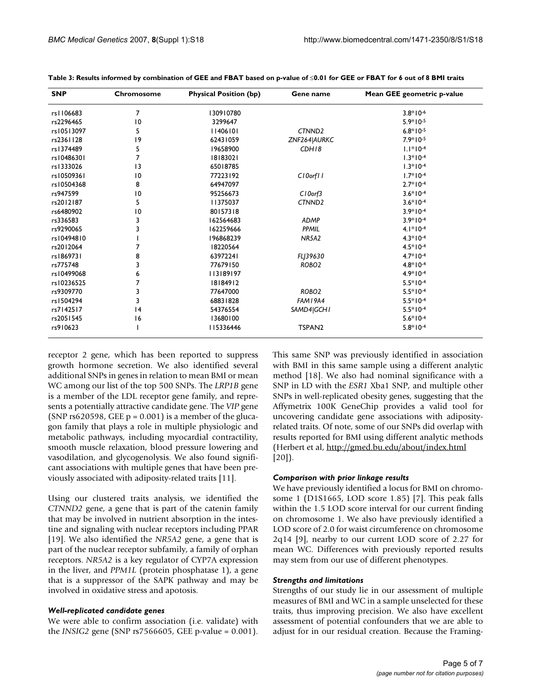| <b>SNP</b> | Chromosome     | <b>Physical Position (bp)</b> | Gene name          | Mean GEE geometric p-value |
|------------|----------------|-------------------------------|--------------------|----------------------------|
| rs1106683  | 7              | 130910780                     |                    | $3.8*10-6$                 |
| rs2296465  | 0              | 3299647                       |                    | $5.9*10-5$                 |
| rs10513097 | 5              | 11406101                      | CTNND <sub>2</sub> | $6.8*10-5$                 |
| rs2361128  | 9              | 62431059                      | ZNF264 AURKC       | $7.9*10-5$                 |
| rs1374489  | 5              | 19658900                      | CDH18              | $1.1*10-4$                 |
| rs10486301 |                | 18183021                      |                    | $1.3*10-4$                 |
| rs1333026  | 3              | 65018785                      |                    | $1.3*10-4$                 |
| rs10509361 | 0              | 77223192                      | C10orf11           | $1.7*10-4$                 |
| rs10504368 | 8              | 64947097                      |                    | $2.7*10-4$                 |
| rs947599   | 0              | 95256673                      | $C10$ orf $3$      | $3.6*10-4$                 |
| rs2012187  | 5              | 11375037                      | CTNND <sub>2</sub> | $3.6*10-4$                 |
| rs6480902  | $\overline{0}$ | 80157318                      |                    | $3.9*10-4$                 |
| rs336583   | 3              | 162564683                     | <b>ADMP</b>        | $3.9*10-4$                 |
| rs9290065  |                | 162259666                     | PPMIL              | $4.1*10-4$                 |
| rs10494810 |                | 196868239                     | <b>NR5A2</b>       | $4.3*10-4$                 |
| rs2012064  |                | 18220564                      |                    | $4.5*10-4$                 |
| rs1869731  | 8              | 63972241                      | FLJ39630           | $4.7*10-4$                 |
| rs775748   |                | 77679150                      | ROBO <sub>2</sub>  | $4.8*10-4$                 |
| rs10499068 | 6              | 113189197                     |                    | $4.9*10-4$                 |
| rs10236525 |                | 18184912                      |                    | $5.5*10-4$                 |
| rs9309770  |                | 77647000                      | ROBO <sub>2</sub>  | $5.5*10-4$                 |
| rs1504294  | 3              | 68831828                      | FAM I 9A4          | $5.5*10-4$                 |
| rs7142517  | 4              | 54376554                      | SAMD4 GCH1         | $5.5*10-4$                 |
| rs2051545  | 16             | 13680100                      |                    | $5.6*10-4$                 |
| rs910623   |                | 115336446                     | TSPAN <sub>2</sub> | $5.8*10-4$                 |

**Table 3: Results informed by combination of GEE and FBAT based on p-value of** ≤**0.01 for GEE or FBAT for 6 out of 8 BMI traits**

receptor 2 gene, which has been reported to suppress growth hormone secretion. We also identified several additional SNPs in genes in relation to mean BMI or mean WC among our list of the top 500 SNPs. The *LRP1B* gene is a member of the LDL receptor gene family, and represents a potentially attractive candidate gene. The *VIP* gene (SNP rs620598, GEE  $p = 0.001$ ) is a member of the glucagon family that plays a role in multiple physiologic and metabolic pathways, including myocardial contractility, smooth muscle relaxation, blood pressure lowering and vasodilation, and glycogenolysis. We also found significant associations with multiple genes that have been previously associated with adiposity-related traits [11].

Using our clustered traits analysis, we identified the *CTNND2* gene, a gene that is part of the catenin family that may be involved in nutrient absorption in the intestine and signaling with nuclear receptors including PPAR [19]. We also identified the *NR5A2* gene, a gene that is part of the nuclear receptor subfamily, a family of orphan receptors. *NR5A2* is a key regulator of CYP7A expression in the liver, and *PPM1L* (protein phosphatase 1), a gene that is a suppressor of the SAPK pathway and may be involved in oxidative stress and apotosis.

## *Well-replicated candidate genes*

We were able to confirm association (i.e. validate) with the *INSIG2* gene (SNP rs7566605, GEE p-value = 0.001).

This same SNP was previously identified in association with BMI in this same sample using a different analytic method [18]. We also had nominal significance with a SNP in LD with the *ESR1* Xba1 SNP, and multiple other SNPs in well-replicated obesity genes, suggesting that the Affymetrix 100K GeneChip provides a valid tool for uncovering candidate gene associations with adiposityrelated traits. Of note, some of our SNPs did overlap with results reported for BMI using different analytic methods (Herbert et al, <http://gmed.bu.edu/about/index.html> [20]).

## *Comparison with prior linkage results*

We have previously identified a locus for BMI on chromosome 1 (D1S1665, LOD score 1.85) [7]. This peak falls within the 1.5 LOD score interval for our current finding on chromosome 1. We also have previously identified a LOD score of 2.0 for waist circumference on chromosome 2q14 [9], nearby to our current LOD score of 2.27 for mean WC. Differences with previously reported results may stem from our use of different phenotypes.

## *Strengths and limitations*

Strengths of our study lie in our assessment of multiple measures of BMI and WC in a sample unselected for these traits, thus improving precision. We also have excellent assessment of potential confounders that we are able to adjust for in our residual creation. Because the Framing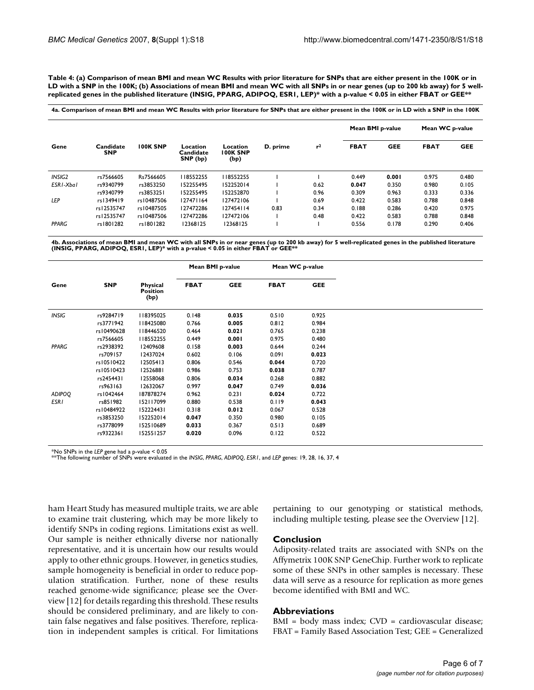**Table 4: (a) Comparison of mean BMI and mean WC Results with prior literature for SNPs that are either present in the 100K or in LD with a SNP in the 100K; (b) Associations of mean BMI and mean WC with all SNPs in or near genes (up to 200 kb away) for 5 wellreplicated genes in the published literature (INSIG, PPARG, ADIPOQ, ESR1, LEP)\* with a p-value < 0.05 in either FBAT or GEE\*\***

|                    |                         |                 |                                   |                                     |          |                | Mean BMI p-value |            | Mean WC p-value |            |
|--------------------|-------------------------|-----------------|-----------------------------------|-------------------------------------|----------|----------------|------------------|------------|-----------------|------------|
| Gene               | Candidate<br><b>SNP</b> | <b>100K SNP</b> | Location<br>Candidate<br>SNP (bp) | Location<br><b>100K SNP</b><br>(bp) | D. prime | r <sup>2</sup> | <b>FBAT</b>      | <b>GEE</b> | <b>FBAT</b>     | <b>GEE</b> |
| INSIG <sub>2</sub> | rs7566605               | Rs7566605       | 118552255                         | 118552255                           |          |                | 0.449            | 0.001      | 0.975           | 0.480      |
| ESRI-Xbal          | rs9340799               | rs3853250       | 152255495                         | 152252014                           |          | 0.62           | 0.047            | 0.350      | 0.980           | 0.105      |
|                    | rs9340799               | rs3853251       | 152255495                         | 152252870                           |          | 0.96           | 0.309            | 0.963      | 0.333           | 0.336      |
| LEP                | rs1349419               | rs10487506      | 127471164                         | 127472106                           |          | 0.69           | 0.422            | 0.583      | 0.788           | 0.848      |
|                    | rs12535747              | rs10487505      | 127472286                         | 127454114                           | 0.83     | 0.34           | 0.188            | 0.286      | 0.420           | 0.975      |
|                    | rs12535747              | rs10487506      | 127472286                         | 127472106                           |          | 0.48           | 0.422            | 0.583      | 0.788           | 0.848      |
| <b>PPARG</b>       | rs1801282               | rs1801282       | 12368125                          | 12368125                            |          |                | 0.556            | 0.178      | 0.290           | 0.406      |

4b. Associations of mean BMI and mean WC with all SNPs in or near genes (up to 200 kb away) for 5 well-replicated genes in the published literature<br>(INSIG, PPARG, ADIPOQ, ESR I, LEP)\* with a p-value < 0.05 in either FBAT o

|               |            |                                            | Mean BMI p-value |            |             | Mean WC p-value |
|---------------|------------|--------------------------------------------|------------------|------------|-------------|-----------------|
| Gene          | <b>SNP</b> | <b>Physical</b><br><b>Position</b><br>(bp) | <b>FBAT</b>      | <b>GEE</b> | <b>FBAT</b> | <b>GEE</b>      |
| <b>INSIG</b>  | rs9284719  | 118395025                                  | 0.148            | 0.035      | 0.510       | 0.925           |
|               | rs3771942  | 18425080                                   | 0.766            | 0.005      | 0.812       | 0.984           |
|               | rs10490628 | 18446520                                   | 0.464            | 0.021      | 0.765       | 0.238           |
|               | rs7566605  | 118552255                                  | 0.449            | 0.001      | 0.975       | 0.480           |
| PPARG         | rs2938392  | 12409608                                   | 0.158            | 0.003      | 0.644       | 0.244           |
|               | rs709157   | 12437024                                   | 0.602            | 0.106      | 0.091       | 0.023           |
|               | rs10510422 | 12505413                                   | 0.806            | 0.546      | 0.044       | 0.720           |
|               | rs10510423 | 12526881                                   | 0.986            | 0.753      | 0.038       | 0.787           |
|               | rs2454431  | 12558068                                   | 0.806            | 0.034      | 0.268       | 0.882           |
|               | rs963163   | 12632067                                   | 0.997            | 0.047      | 0.749       | 0.036           |
| <b>ADIPOQ</b> | rs1042464  | 187878274                                  | 0.962            | 0.231      | 0.024       | 0.722           |
| <b>ESRI</b>   | rs851982   | 152117099                                  | 0.880            | 0.538      | 0.119       | 0.043           |
|               | rs10484922 | 152224431                                  | 0.318            | 0.012      | 0.067       | 0.528           |
|               | rs3853250  | 152252014                                  | 0.047            | 0.350      | 0.980       | 0.105           |
|               | rs3778099  | 152510689                                  | 0.033            | 0.367      | 0.513       | 0.689           |
|               | rs9322361  | 152551257                                  | 0.020            | 0.096      | 0.122       | 0.522           |

\*No SNPs in the *LEP* gene had a p-value < 0.05 \*\*The following number of SNPs were evaluated in the *INSIG*, *PPARG*, *ADIPOQ*, *ESR1*, and *LEP* genes: 19, 28, 16, 37, 4

ham Heart Study has measured multiple traits, we are able to examine trait clustering, which may be more likely to identify SNPs in coding regions. Limitations exist as well. Our sample is neither ethnically diverse nor nationally representative, and it is uncertain how our results would apply to other ethnic groups. However, in genetics studies, sample homogeneity is beneficial in order to reduce population stratification. Further, none of these results reached genome-wide significance; please see the Overview [12] for details regarding this threshold. These results should be considered preliminary, and are likely to contain false negatives and false positives. Therefore, replication in independent samples is critical. For limitations

pertaining to our genotyping or statistical methods, including multiple testing, please see the Overview [12].

#### **Conclusion**

Adiposity-related traits are associated with SNPs on the Affymetrix 100K SNP GeneChip. Further work to replicate some of these SNPs in other samples is necessary. These data will serve as a resource for replication as more genes become identified with BMI and WC.

#### **Abbreviations**

BMI = body mass index; CVD = cardiovascular disease; FBAT = Family Based Association Test; GEE = Generalized